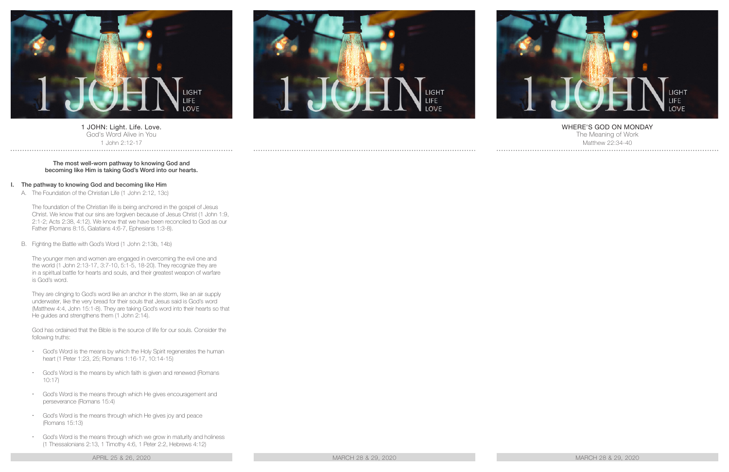

1 JOHN: Light. Life. Love. God's Word Alive in You 1 John 2:12-17

#### The most well-worn pathway to knowing God and becoming like Him is taking God's Word into our hearts.

### I. The pathway to knowing God and becoming like Him

A. The Foundation of the Christian Life (1 John 2:12, 13c)

The foundation of the Christian life is being anchored in the gospel of Jesus Christ. We know that our sins are forgiven because of Jesus Christ (1 John 1:9, 2:1-2; Acts 2:38, 4:12). We know that we have been reconciled to God as our Father (Romans 8:15, Galatians 4:6-7, Ephesians 1:3-8).

B. Fighting the Battle with God's Word (1 John 2:13b, 14b)

The younger men and women are engaged in overcoming the evil one and the world (1 John 2:13-17, 3:7-10, 5:1-5, 18-20). They recognize they are in a spiritual battle for hearts and souls, and their greatest weapon of warfare is God's word.

They are clinging to God's word like an anchor in the storm, like an air supply underwater, like the very bread for their souls that Jesus said is God's word (Matthew 4:4, John 15:1-8). They are taking God's word into their hearts so that He guides and strengthens them (1 John 2:14).

God has ordained that the Bible is the source of life for our souls. Consider the following truths:

- God's Word is the means by which the Holy Spirit regenerates the human heart (1 Peter 1:23, 25; Romans 1:16-17, 10:14-15)
- God's Word is the means by which faith is given and renewed (Romans 10:17)
- God's Word is the means through which He gives encouragement and perseverance (Romans 15:4)
- God's Word is the means through which He gives joy and peace (Romans 15:13)
- God's Word is the means through which we grow in maturity and holiness (1 Thessalonians 2:13, 1 Timothy 4:6, 1 Peter 2:2, Hebrews 4:12)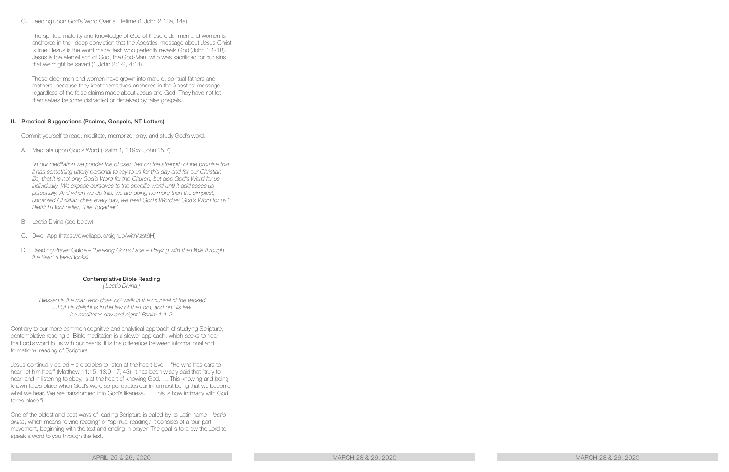C. Feeding upon God's Word Over a Lifetime (1 John 2:13a, 14a)

The spiritual maturity and knowledge of God of these older men and women is anchored in their deep conviction that the Apostles' message about Jesus Christ is true. Jesus is the word made flesh who perfectly reveals God (John 1:1-18). Jesus is the eternal son of God, the God-Man, who was sacrificed for our sins that we might be saved (1 John 2:1-2, 4:14).

These older men and women have grown into mature, spiritual fathers and mothers, because they kept themselves anchored in the Apostles' message regardless of the false claims made about Jesus and God. They have not let themselves become distracted or deceived by false gospels.

# II. Practical Suggestions (Psalms, Gospels, NT Letters)

Commit yourself to read, meditate, memorize, pray, and study God's word.

A. Meditate upon God's Word (Psalm 1, 119:5; John 15:7)

*"In our meditation we ponder the chosen text on the strength of the promise that it has something utterly personal to say to us for this day and for our Christian life, that it is not only God's Word for the Church, but also God's Word for us individually. We expose ourselves to the specific word until it addresses us personally. And when we do this, we are doing no more than the simplest, untutored Christian does every day; we read God's Word as God's Word for us." Dietrich Bonhoeffer, "Life Together"*

- B. Lectio Divina (see below)
- C. Dwell App (https://dwellapp.io/signup/with/izst6H)
- D. Reading/Prayer Guide *"Seeking God's Face Praying with the Bible through the Year" (BakerBooks)*

### Contemplative Bible Reading

*( Lectio Divina )*

*"Blessed is the man who does not walk in the counsel of the wicked …But his delight is in the law of the Lord, and on His law he meditates day and night." Psalm 1:1-2*

Contrary to our more common cognitive and analytical approach of studying Scripture, contemplative reading or Bible meditation is a slower approach, which seeks to hear the Lord's word to us with our hearts. It is the difference between informational and formational reading of Scripture.

Jesus continually called His disciples to listen at the heart level – "He who has ears to hear, let him hear" (Matthew 11:15, 13:9-17, 43). It has been wisely said that "truly to hear, and in listening to obey, is at the heart of knowing God. … This knowing and being known takes place when God's word so penetrates our innermost being that we become what we hear. We are transformed into God's likeness. … This is how intimacy with God takes place."i

One of the oldest and best ways of reading Scripture is called by its Latin name – *lectio divina*, which means "divine reading" or "spiritual reading." It consists of a four-part movement, beginning with the text and ending in prayer. The goal is to allow the Lord to speak a word to you through the text.